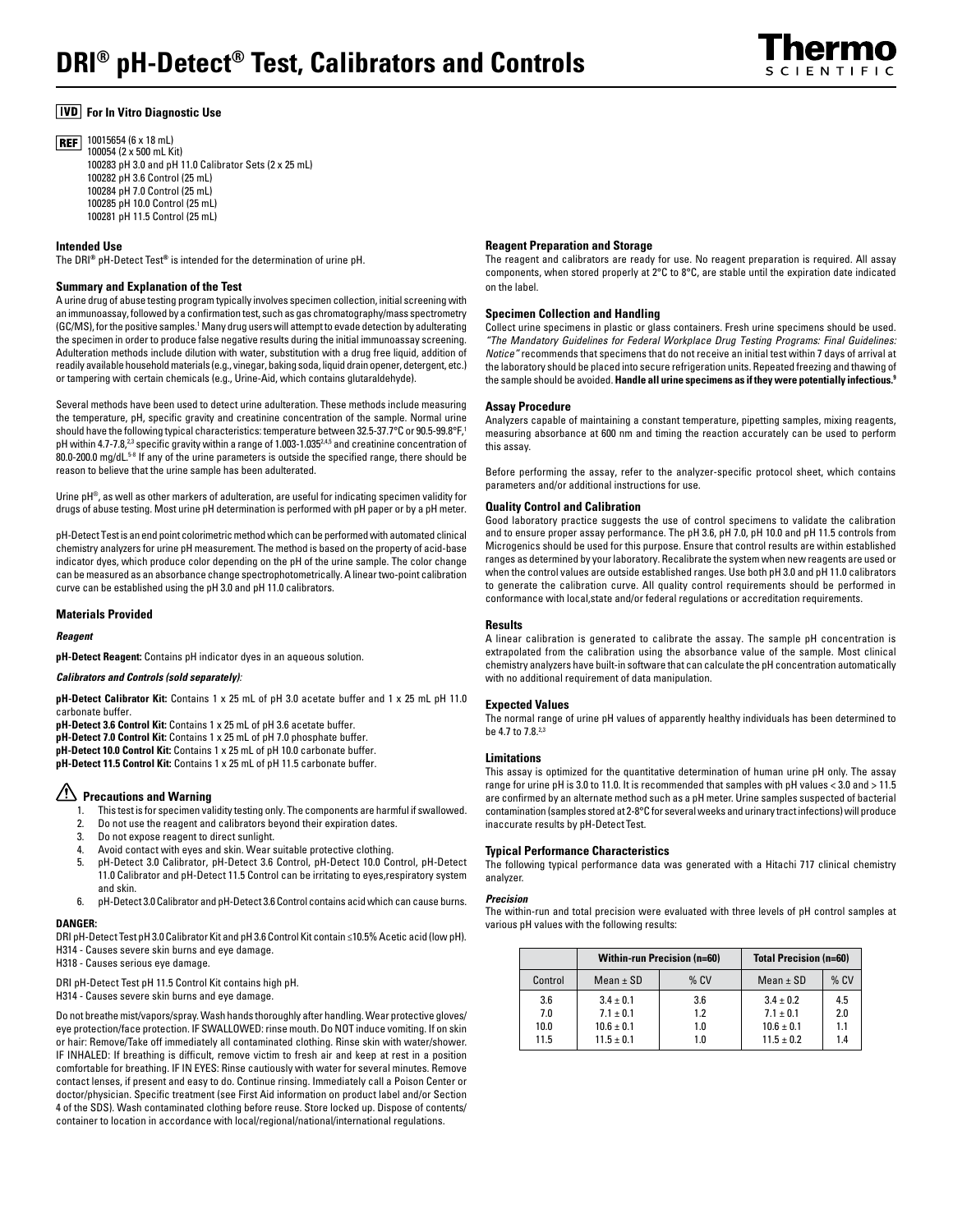# **For In Vitro Diagnostic Use**

10015654 (6 x 18 mL) **REF** 100054 (2 x 500 mL Kit) 100283 pH 3.0 and pH 11.0 Calibrator Sets (2 x 25 mL) 100282 pH 3.6 Control (25 mL) 100284 pH 7.0 Control (25 mL) 100285 pH 10.0 Control (25 mL) 100281 pH 11.5 Control (25 mL)

# **Intended Use**

The DRI**®** pH-Detect Test**®** is intended for the determination of urine pH.

# **Summary and Explanation of the Test**

A urine drug of abuse testing program typically involves specimen collection, initial screening with an immunoassay, followed by a confirmation test, such as gas chromatography/mass spectrometry (GC/MS), for the positive samples.' Many drug users will attempt to evade detection by adulterating the specimen in order to produce false negative results during the initial immunoassay screening. Adulteration methods include dilution with water, substitution with a drug free liquid, addition of readily available household materials (e.g., vinegar, baking soda, liquid drain opener, detergent, etc.) or tampering with certain chemicals (e.g., Urine-Aid, which contains glutaraldehyde).

Several methods have been used to detect urine adulteration. These methods include measuring the temperature, pH, specific gravity and creatinine concentration of the sample. Normal urine should have the following typical characteristics: temperature between 32.5-37.7°C or 90.5-99.8°F,<sup>1</sup> pH within 4.7-7.8,<sup>2,3</sup> specific gravity within a range of 1.003-1.035<sup>2,4,5</sup> and creatinine concentration of 80.0-200.0 mg/dL.<sup>5-8</sup> If any of the urine parameters is outside the specified range, there should be reason to believe that the urine sample has been adulterated.

Urine pH®, as well as other markers of adulteration, are useful for indicating specimen validity for drugs of abuse testing. Most urine pH determination is performed with pH paper or by a pH meter.

pH-Detect Test is an end point colorimetric method which can be performed with automated clinical chemistry analyzers for urine pH measurement. The method is based on the property of acid-base indicator dyes, which produce color depending on the pH of the urine sample. The color change can be measured as an absorbance change spectrophotometrically. A linear two-point calibration curve can be established using the pH 3.0 and pH 11.0 calibrators.

# **Materials Provided**

#### *Reagent*

**pH-Detect Reagent:** Contains pH indicator dyes in an aqueous solution.

#### *Calibrators and Controls (sold separately):*

**pH-Detect Calibrator Kit:** Contains 1 x 25 mL of pH 3.0 acetate buffer and 1 x 25 mL pH 11.0 carbonate buffer.

**pH-Detect 3.6 Control Kit:** Contains 1 x 25 mL of pH 3.6 acetate buffer.

**pH-Detect 7.0 Control Kit:** Contains 1 x 25 mL of pH 7.0 phosphate buffer.

**pH-Detect 10.0 Control Kit:** Contains 1 x 25 mL of pH 10.0 carbonate buffer.

**pH-Detect 11.5 Control Kit:** Contains 1 x 25 mL of pH 11.5 carbonate buffer.

# **Precautions and Warning**

- 1. This test is for specimen validity testing only. The components are harmful if swallowed.
- 2. Do not use the reagent and calibrators beyond their expiration dates.
- 3. Do not expose reagent to direct sunlight.
- 4. Avoid contact with eyes and skin. Wear suitable protective clothing.
- 5. pH-Detect 3.0 Calibrator, pH-Detect 3.6 Control, pH-Detect 10.0 Control, pH-Detect 11.0 Calibrator and pH-Detect 11.5 Control can be irritating to eyes,respiratory system and skin.
- 6. pH-Detect 3.0 Calibrator and pH-Detect 3.6 Control contains acid which can cause burns.

# **DANGER:**

DRI pH-Detect Test pH 3.0 Calibrator Kit and pH 3.6 Control Kit contain ≤10.5% Acetic acid (low pH). H314 - Causes severe skin burns and eye damage.

H318 - Causes serious eye damage.

DRI pH-Detect Test pH 11.5 Control Kit contains high pH.

H314 - Causes severe skin burns and eye damage.

Do not breathe mist/vapors/spray. Wash hands thoroughly after handling. Wear protective gloves/ eye protection/face protection. IF SWALLOWED: rinse mouth. Do NOT induce vomiting. If on skin or hair: Remove/Take off immediately all contaminated clothing. Rinse skin with water/shower. IF INHALED: If breathing is difficult, remove victim to fresh air and keep at rest in a position comfortable for breathing. IF IN EYES: Rinse cautiously with water for several minutes. Remove contact lenses, if present and easy to do. Continue rinsing. Immediately call a Poison Center or doctor/physician. Specific treatment (see First Aid information on product label and/or Section 4 of the SDS). Wash contaminated clothing before reuse. Store locked up. Dispose of contents/ container to location in accordance with local/regional/national/international regulations.

# **Reagent Preparation and Storage**

The reagent and calibrators are ready for use. No reagent preparation is required. All assay components, when stored properly at 2°C to 8°C, are stable until the expiration date indicated on the label.

#### **Specimen Collection and Handling**

Collect urine specimens in plastic or glass containers. Fresh urine specimens should be used. *"The Mandatory Guidelines for Federal Workplace Drug Testing Programs: Final Guidelines: Notice"* recommends that specimens that do not receive an initial test within 7 days of arrival at the laboratory should be placed into secure refrigeration units. Repeated freezing and thawing of the sample should be avoided. **Handle all urine specimens as if they were potentially infectious.9**

# **Assay Procedure**

Analyzers capable of maintaining a constant temperature, pipetting samples, mixing reagents, measuring absorbance at 600 nm and timing the reaction accurately can be used to perform this assay.

Before performing the assay, refer to the analyzer-specific protocol sheet, which contains parameters and/or additional instructions for use.

# **Quality Control and Calibration**

Good laboratory practice suggests the use of control specimens to validate the calibration and to ensure proper assay performance. The pH 3.6, pH 7.0, pH 10.0 and pH 11.5 controls from Microgenics should be used for this purpose. Ensure that control results are within established ranges as determined by your laboratory. Recalibrate the system when new reagents are used or when the control values are outside established ranges. Use both pH 3.0 and pH 11.0 calibrators to generate the calibration curve. All quality control requirements should be performed in conformance with local,state and/or federal regulations or accreditation requirements.

#### **Results**

A linear calibration is generated to calibrate the assay. The sample pH concentration is extrapolated from the calibration using the absorbance value of the sample. Most clinical chemistry analyzers have built-in software that can calculate the pH concentration automatically with no additional requirement of data manipulation.

#### **Expected Values**

The normal range of urine pH values of apparently healthy individuals has been determined to be 4.7 to 7.8.2,3

### **Limitations**

This assay is optimized for the quantitative determination of human urine pH only. The assay range for urine pH is 3.0 to 11.0. It is recommended that samples with pH values < 3.0 and > 11.5 are confirmed by an alternate method such as a pH meter. Urine samples suspected of bacterial contamination (samples stored at 2-8°C for several weeks and urinary tract infections) will produce inaccurate results by pH-Detect Test.

# **Typical Performance Characteristics**

The following typical performance data was generated with a Hitachi 717 clinical chemistry analyzer.

# *Precision*

The within-run and total precision were evaluated with three levels of pH control samples at various pH values with the following results:

|         | <b>Within-run Precision (n=60)</b> |        | <b>Total Precision (n=60)</b> |        |
|---------|------------------------------------|--------|-------------------------------|--------|
| Control | Mean $\pm$ SD                      | $%$ CV | Mean $\pm$ SD                 | $%$ CV |
| 3.6     | $3.4 \pm 0.1$                      | 3.6    | $3.4 + 0.2$                   | 4.5    |
| 7.0     | $7.1 \pm 0.1$                      | 1.2    | $7.1 \pm 0.1$                 | 2.0    |
| 10.0    | $10.6 \pm 0.1$                     | 1.0    | $10.6 \pm 0.1$                | 1.1    |
| 11.5    | $11.5 \pm 0.1$                     | 1.0    | $11.5 \pm 0.2$                | 1.4    |